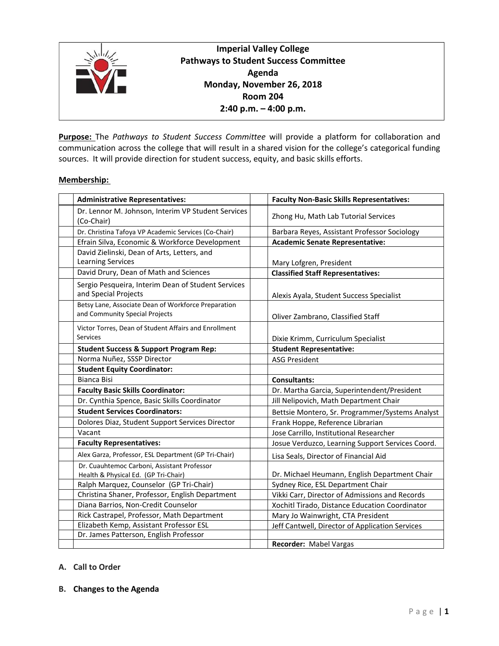

# **Imperial Valley College Pathways to Student Success Committee Agenda Monday, November 26, 2018 Room 204 2:40 p.m. – 4:00 p.m.**

**Purpose:** The *Pathways to Student Success Committee* will provide a platform for collaboration and communication across the college that will result in a shared vision for the college's categorical funding sources. It will provide direction for student success, equity, and basic skills efforts.

#### **Membership:**

| <b>Administrative Representatives:</b>                                                | <b>Faculty Non-Basic Skills Representatives:</b> |
|---------------------------------------------------------------------------------------|--------------------------------------------------|
| Dr. Lennor M. Johnson, Interim VP Student Services<br>(Co-Chair)                      | Zhong Hu, Math Lab Tutorial Services             |
| Dr. Christina Tafoya VP Academic Services (Co-Chair)                                  | Barbara Reyes, Assistant Professor Sociology     |
| Efrain Silva, Economic & Workforce Development                                        | <b>Academic Senate Representative:</b>           |
| David Zielinski, Dean of Arts, Letters, and<br><b>Learning Services</b>               | Mary Lofgren, President                          |
| David Drury, Dean of Math and Sciences                                                | <b>Classified Staff Representatives:</b>         |
| Sergio Pesqueira, Interim Dean of Student Services<br>and Special Projects            | Alexis Ayala, Student Success Specialist         |
| Betsy Lane, Associate Dean of Workforce Preparation<br>and Community Special Projects | Oliver Zambrano, Classified Staff                |
| Victor Torres, Dean of Student Affairs and Enrollment<br>Services                     | Dixie Krimm, Curriculum Specialist               |
| <b>Student Success &amp; Support Program Rep:</b>                                     | <b>Student Representative:</b>                   |
| Norma Nuñez, SSSP Director                                                            | <b>ASG President</b>                             |
| <b>Student Equity Coordinator:</b>                                                    |                                                  |
| <b>Bianca Bisi</b>                                                                    | <b>Consultants:</b>                              |
| <b>Faculty Basic Skills Coordinator:</b>                                              | Dr. Martha Garcia, Superintendent/President      |
| Dr. Cynthia Spence, Basic Skills Coordinator                                          | Jill Nelipovich, Math Department Chair           |
| <b>Student Services Coordinators:</b>                                                 | Bettsie Montero, Sr. Programmer/Systems Analyst  |
| Dolores Diaz, Student Support Services Director                                       | Frank Hoppe, Reference Librarian                 |
| Vacant                                                                                | Jose Carrillo, Institutional Researcher          |
| <b>Faculty Representatives:</b>                                                       | Josue Verduzco, Learning Support Services Coord. |
| Alex Garza, Professor, ESL Department (GP Tri-Chair)                                  | Lisa Seals, Director of Financial Aid            |
| Dr. Cuauhtemoc Carboni, Assistant Professor<br>Health & Physical Ed. (GP Tri-Chair)   | Dr. Michael Heumann, English Department Chair    |
| Ralph Marquez, Counselor (GP Tri-Chair)                                               | Sydney Rice, ESL Department Chair                |
| Christina Shaner, Professor, English Department                                       | Vikki Carr, Director of Admissions and Records   |
| Diana Barrios, Non-Credit Counselor                                                   | Xochitl Tirado, Distance Education Coordinator   |
| Rick Castrapel, Professor, Math Department                                            | Mary Jo Wainwright, CTA President                |
| Elizabeth Kemp, Assistant Professor ESL                                               | Jeff Cantwell, Director of Application Services  |
| Dr. James Patterson, English Professor                                                |                                                  |
|                                                                                       | Recorder: Mabel Vargas                           |

# **A. Call to Order**

#### **B. Changes to the Agenda**